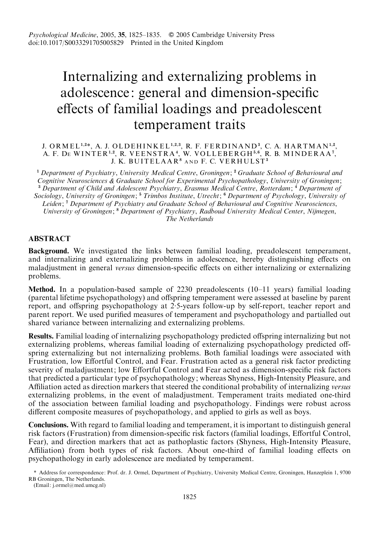# Internalizing and externalizing problems in adolescence: general and dimension-specific effects of familial loadings and preadolescent temperament traits

## J. ORMEL<sup>1,2\*</sup>, A. J. OLDEHINKEL<sup>1,2,3</sup>, R. F. FERDINAND<sup>3</sup>, C. A. HARTMAN<sup>1,2</sup>, A. F. DE WINTER<sup>1,2</sup>, R. VEENSTRA<sup>4</sup>, W. VOLLEBERGH<sup>5,6</sup>, R. B. MINDERAA<sup>7</sup>, J. K. BUITELAAR<sup>8</sup> and F. C. VERHULST<sup>3</sup>

<sup>1</sup> Department of Psychiatry, University Medical Centre, Groningen; <sup>2</sup> Graduate School of Behavioural and Cognitive Neurosciences & Graduate School for Experimental Psychopathology, University of Groningen;  $3$  Department of Child and Adolescent Psychiatry, Erasmus Medical Centre, Rotterdam;  $4$  Department of Sociology, University of Groningen; <sup>5</sup> Trimbos Institute, Utrecht; <sup>6</sup> Department of Psychology, University of Leiden; <sup>7</sup> Department of Psychiatry and Graduate School of Behavioural and Cognitive Neurosciences, University of Groningen; <sup>8</sup> Department of Psychiatry, Radboud University Medical Center, Nijmegen, The Netherlands

# ABSTRACT

Background. We investigated the links between familial loading, preadolescent temperament, and internalizing and externalizing problems in adolescence, hereby distinguishing effects on maladjustment in general versus dimension-specific effects on either internalizing or externalizing problems.

Method. In a population-based sample of 2230 preadolescents (10–11 years) familial loading (parental lifetime psychopathology) and offspring temperament were assessed at baseline by parent report, and offspring psychopathology at 2. 5-years follow-up by self-report, teacher report and parent report. We used purified measures of temperament and psychopathology and partialled out shared variance between internalizing and externalizing problems.

Results. Familial loading of internalizing psychopathology predicted offspring internalizing but not externalizing problems, whereas familial loading of externalizing psychopathology predicted offspring externalizing but not internalizing problems. Both familial loadings were associated with Frustration, low Effortful Control, and Fear. Frustration acted as a general risk factor predicting severity of maladjustment; low Effortful Control and Fear acted as dimension-specific risk factors that predicted a particular type of psychopathology; whereas Shyness, High-Intensity Pleasure, and Affiliation acted as direction markers that steered the conditional probability of internalizing versus externalizing problems, in the event of maladjustment. Temperament traits mediated one-third of the association between familial loading and psychopathology. Findings were robust across different composite measures of psychopathology, and applied to girls as well as boys.

Conclusions. With regard to familial loading and temperament, it is important to distinguish general risk factors (Frustration) from dimension-specific risk factors (familial loadings, Effortful Control, Fear), and direction markers that act as pathoplastic factors (Shyness, High-Intensity Pleasure, Affiliation) from both types of risk factors. About one-third of familial loading effects on psychopathology in early adolescence are mediated by temperament.

\* Address for correspondence: Prof. dr. J. Ormel, Department of Psychiatry, University Medical Centre, Groningen, Hanzeplein 1, 9700 RB Groningen, The Netherlands.

(Email: j.ormel@med.umcg.nl)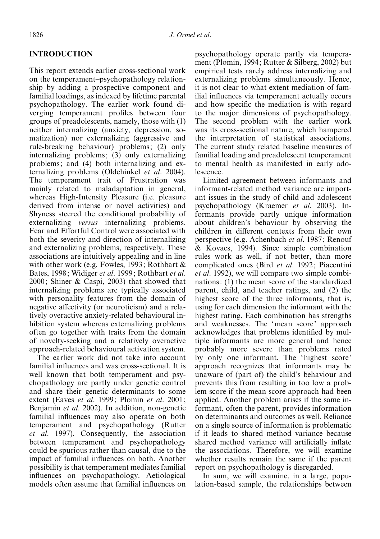# INTRODUCTION

This report extends earlier cross-sectional work on the temperament–psychopathology relationship by adding a prospective component and familial loadings, as indexed by lifetime parental psychopathology. The earlier work found diverging temperament profiles between four groups of preadolescents, namely, those with (1) neither internalizing (anxiety, depression, somatization) nor externalizing (aggressive and rule-breaking behaviour) problems; (2) only internalizing problems; (3) only externalizing problems; and (4) both internalizing and externalizing problems (Oldehinkel et al. 2004). The temperament trait of Frustration was mainly related to maladaptation in general, whereas High-Intensity Pleasure (i.e. pleasure derived from intense or novel activities) and Shyness steered the conditional probability of externalizing versus internalizing problems. Fear and Effortful Control were associated with both the severity and direction of internalizing and externalizing problems, respectively. These associations are intuitively appealing and in line with other work (e.g. Fowles, 1993; Rothbart & Bates, 1998; Widiger et al. 1999; Rothbart et al. 2000; Shiner & Caspi, 2003) that showed that internalizing problems are typically associated with personality features from the domain of negative affectivity (or neuroticism) and a relatively overactive anxiety-related behavioural inhibition system whereas externalizing problems often go together with traits from the domain of novelty-seeking and a relatively overactive approach-related behavioural activation system.

The earlier work did not take into account familial influences and was cross-sectional. It is well known that both temperament and psychopathology are partly under genetic control and share their genetic determinants to some extent (Eaves et al. 1999; Plomin et al. 2001; Benjamin et al. 2002). In addition, non-genetic familial influences may also operate on both temperament and psychopathology (Rutter et al. 1997). Consequently, the association between temperament and psychopathology could be spurious rather than causal, due to the impact of familial influences on both. Another possibility is that temperament mediates familial influences on psychopathology. Aetiological models often assume that familial influences on psychopathology operate partly via temperament (Plomin, 1994; Rutter & Silberg, 2002) but empirical tests rarely address internalizing and externalizing problems simultaneously. Hence, it is not clear to what extent mediation of familial influences via temperament actually occurs and how specific the mediation is with regard to the major dimensions of psychopathology. The second problem with the earlier work was its cross-sectional nature, which hampered the interpretation of statistical associations. The current study related baseline measures of familial loading and preadolescent temperament to mental health as manifested in early adolescence.

Limited agreement between informants and informant-related method variance are important issues in the study of child and adolescent psychopathology (Kraemer et al. 2003). Informants provide partly unique information about children's behaviour by observing the children in different contexts from their own perspective (e.g. Achenbach et al. 1987; Renouf & Kovacs, 1994). Since simple combination rules work as well, if not better, than more complicated ones (Bird et al. 1992; Piacentini et al. 1992), we will compare two simple combinations: (1) the mean score of the standardized parent, child, and teacher ratings, and (2) the highest score of the three informants, that is, using for each dimension the informant with the highest rating. Each combination has strengths and weaknesses. The 'mean score' approach acknowledges that problems identified by multiple informants are more general and hence probably more severe than problems rated by only one informant. The 'highest score' approach recognizes that informants may be unaware of (part of) the child's behaviour and prevents this from resulting in too low a problem score if the mean score approach had been applied. Another problem arises if the same informant, often the parent, provides information on determinants and outcomes as well. Reliance on a single source of information is problematic if it leads to shared method variance because shared method variance will artificially inflate the associations. Therefore, we will examine whether results remain the same if the parent report on psychopathology is disregarded.

In sum, we will examine, in a large, population-based sample, the relationships between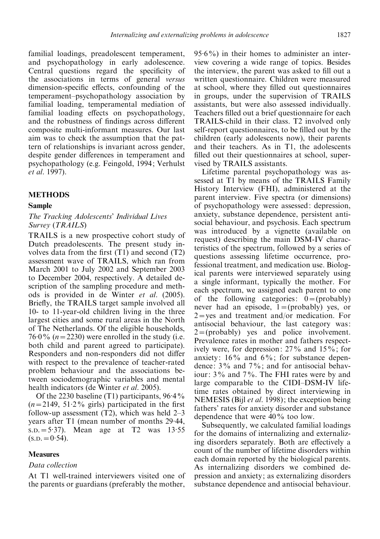familial loadings, preadolescent temperament, and psychopathology in early adolescence. Central questions regard the specificity of the associations in terms of general versus dimension-specific effects, confounding of the temperament–psychopathology association by familial loading, temperamental mediation of familial loading effects on psychopathology, and the robustness of findings across different composite multi-informant measures. Our last aim was to check the assumption that the pattern of relationships is invariant across gender, despite gender differences in temperament and psychopathology (e.g. Feingold, 1994; Verhulst et al. 1997).

#### METHODS

#### Sample

#### The Tracking Adolescents' Individual Lives Survey (TRAILS)

TRAILS is a new prospective cohort study of Dutch preadolescents. The present study involves data from the first (T1) and second (T2) assessment wave of TRAILS, which ran from March 2001 to July 2002 and September 2003 to December 2004, respectively. A detailed description of the sampling procedure and methods is provided in de Winter et al. (2005). Briefly, the TRAILS target sample involved all 10- to 11-year-old children living in the three largest cities and some rural areas in the North of The Netherlands. Of the eligible households, 76.0%  $(n=2230)$  were enrolled in the study (i.e. both child and parent agreed to participate). Responders and non-responders did not differ with respect to the prevalence of teacher-rated problem behaviour and the associations between sociodemographic variables and mental health indicators (de Winter *et al.* 2005).

Of the 2230 baseline (T1) participants, 96.4%  $(n=2149, 51.2\%$  girls) participated in the first follow-up assessment  $(T2)$ , which was held  $2-3$ years after T1 (mean number of months 29. 44, S.D.=5. 37). Mean age at T2 was 13. 55  $(s.p. = 0.54)$ .

#### Measures

## Data collection

At T1 well-trained interviewers visited one of the parents or guardians (preferably the mother,

95. 6%) in their homes to administer an interview covering a wide range of topics. Besides the interview, the parent was asked to fill out a written questionnaire. Children were measured at school, where they filled out questionnaires in groups, under the supervision of TRAILS assistants, but were also assessed individually. Teachers filled out a brief questionnaire for each TRAILS-child in their class. T2 involved only self-report questionnaires, to be filled out by the children (early adolescents now), their parents and their teachers. As in T1, the adolescents filled out their questionnaires at school, supervised by TRAILS assistants.

Lifetime parental psychopathology was assessed at T1 by means of the TRAILS Family History Interview (FHI), administered at the parent interview. Five spectra (or dimensions) of psychopathology were assessed: depression, anxiety, substance dependence, persistent antisocial behaviour, and psychosis. Each spectrum was introduced by a vignette (available on request) describing the main DSM-IV characteristics of the spectrum, followed by a series of questions assessing lifetime occurrence, professional treatment, and medication use. Biological parents were interviewed separately using a single informant, typically the mother. For each spectrum, we assigned each parent to one of the following categories:  $0 = (probability)$ never had an episode,  $1 = (probability)$  yes, or  $2 = yes$  and treatment and/or medication. For antisocial behaviour, the last category was:  $2 = (probability)$  yes and police involvement. Prevalence rates in mother and fathers respectively were, for depression: 27% and 15%; for anxiety:  $16\%$  and  $6\%$ ; for substance dependence: 3% and 7%; and for antisocial behaviour: 3% and 7%. The FHI rates were by and large comparable to the CIDI–DSM-IV lifetime rates obtained by direct interviewing in NEMESIS (Bijl *et al.* 1998); the exception being fathers' rates for anxiety disorder and substance dependence that were 40% too low.

Subsequently, we calculated familial loadings for the domains of internalizing and externalizing disorders separately. Both are effectively a count of the number of lifetime disorders within each domain reported by the biological parents. As internalizing disorders we combined depression and anxiety; as externalizing disorders substance dependence and antisocial behaviour.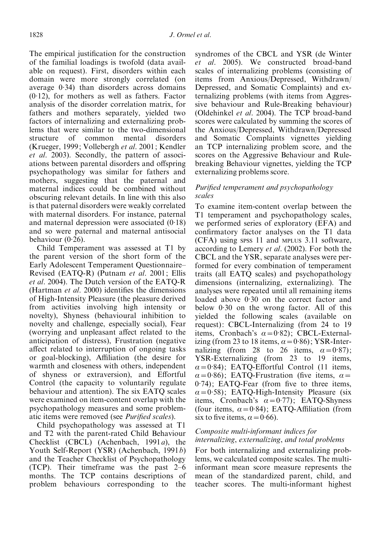The empirical justification for the construction of the familial loadings is twofold (data available on request). First, disorders within each domain were more strongly correlated (on average 0. 34) than disorders across domains (0. 12), for mothers as well as fathers. Factor analysis of the disorder correlation matrix, for fathers and mothers separately, yielded two factors of internalizing and externalizing problems that were similar to the two-dimensional structure of common mental disorders (Krueger, 1999; Vollebergh et al. 2001; Kendler et al. 2003). Secondly, the pattern of associations between parental disorders and offspring psychopathology was similar for fathers and mothers, suggesting that the paternal and maternal indices could be combined without obscuring relevant details. In line with this also is that paternal disorders were weakly correlated with maternal disorders. For instance, paternal and maternal depression were associated  $(0.18)$ and so were paternal and maternal antisocial behaviour  $(0.26)$ .

Child Temperament was assessed at T1 by the parent version of the short form of the Early Adolescent Temperament Questionnaire– Revised (EATQ-R) (Putnam et al. 2001; Ellis et al. 2004). The Dutch version of the EATQ-R (Hartman et al. 2000) identifies the dimensions of High-Intensity Pleasure (the pleasure derived from activities involving high intensity or novelty), Shyness (behavioural inhibition to novelty and challenge, especially social), Fear (worrying and unpleasant affect related to the anticipation of distress), Frustration (negative affect related to interruption of ongoing tasks or goal-blocking), Affiliation (the desire for warmth and closeness with others, independent of shyness or extraversion), and Effortful Control (the capacity to voluntarily regulate behaviour and attention). The six EATQ scales were examined on item-content overlap with the psychopathology measures and some problematic items were removed (see Purified scales).

Child psychopathology was assessed at T1 and T2 with the parent-rated Child Behaviour Checklist (CBCL) (Achenbach, 1991a), the Youth Self-Report (YSR) (Achenbach, 1991b) and the Teacher Checklist of Psychopathology (TCP). Their timeframe was the past 2–6 months. The TCP contains descriptions of problem behaviours corresponding to the syndromes of the CBCL and YSR (de Winter et al. 2005). We constructed broad-band scales of internalizing problems (consisting of items from Anxious/Depressed, Withdrawn/ Depressed, and Somatic Complaints) and externalizing problems (with items from Aggressive behaviour and Rule-Breaking behaviour) (Oldehinkel et al. 2004). The TCP broad-band scores were calculated by summing the scores of the Anxious/Depressed, Withdrawn/Depressed and Somatic Complaints vignettes yielding an TCP internalizing problem score, and the scores on the Aggressive Behaviour and Rulebreaking Behaviour vignettes, yielding the TCP externalizing problems score.

# Purified temperament and psychopathology scales

To examine item-content overlap between the T1 temperament and psychopathology scales, we performed series of exploratory (EFA) and confirmatory factor analyses on the T1 data (CFA) using SPSS 11 and MPLUS 3.11 software, according to Lemery et al. (2002). For both the CBCL and the YSR, separate analyses were performed for every combination of temperament traits (all EATQ scales) and psychopathology dimensions (internalizing, externalizing). The analyses were repeated until all remaining items loaded above 0.30 on the correct factor and below 0. 30 on the wrong factor. All of this yielded the following scales (available on request): CBCL-Internalizing (from 24 to 19 items, Cronbach's  $\alpha = 0.82$ ); CBCL-Externalizing (from 23 to 18 items,  $\alpha = 0.86$ ); YSR-Internalizing (from 28 to 26 items,  $\alpha = 0.87$ ); YSR-Externalizing (from 23 to 19 items,  $\alpha$ =0.84); EATQ-Effortful Control (11 items,  $\alpha = 0.86$ ); EATQ-Frustration (five items,  $\alpha =$ 0. 74); EATQ-Fear (from five to three items,  $\alpha = 0.58$ ); EATQ-High-Intensity Pleasure (six items, Cronbach's  $\alpha = 0.77$ ); EATQ-Shyness (four items,  $\alpha = 0.84$ ); EATQ-Affiliation (from six to five items,  $\alpha = 0.66$ .

# Composite multi-informant indices for internalizing, externalizing, and total problems

For both internalizing and externalizing problems, we calculated composite scales. The multiinformant mean score measure represents the mean of the standardized parent, child, and teacher scores. The multi-informant highest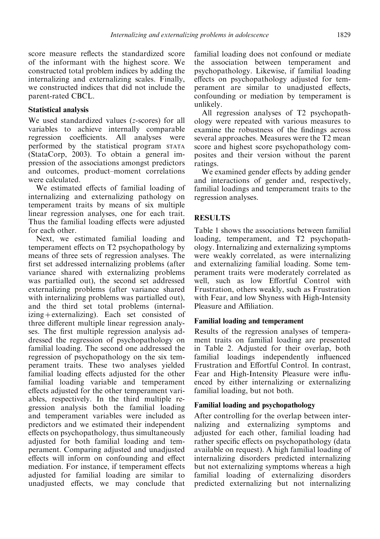score measure reflects the standardized score of the informant with the highest score. We constructed total problem indices by adding the internalizing and externalizing scales. Finally, we constructed indices that did not include the parent-rated CBCL.

# Statistical analysis

We used standardized values (z-scores) for all variables to achieve internally comparable regression coefficients. All analyses were performed by the statistical program STATA (StataCorp, 2003). To obtain a general impression of the associations amongst predictors and outcomes, product–moment correlations were calculated.

We estimated effects of familial loading of internalizing and externalizing pathology on temperament traits by means of six multiple linear regression analyses, one for each trait. Thus the familial loading effects were adjusted for each other.

Next, we estimated familial loading and temperament effects on T2 psychopathology by means of three sets of regression analyses. The first set addressed internalizing problems (after variance shared with externalizing problems was partialled out), the second set addressed externalizing problems (after variance shared with internalizing problems was partialled out), and the third set total problems (internalizing+externalizing). Each set consisted of three different multiple linear regression analyses. The first multiple regression analysis addressed the regression of psychopathology on familial loading. The second one addressed the regression of psychopathology on the six temperament traits. These two analyses yielded familial loading effects adjusted for the other familial loading variable and temperament effects adjusted for the other temperament variables, respectively. In the third multiple regression analysis both the familial loading and temperament variables were included as predictors and we estimated their independent effects on psychopathology, thus simultaneously adjusted for both familial loading and temperament. Comparing adjusted and unadjusted effects will inform on confounding and effect mediation. For instance, if temperament effects adjusted for familial loading are similar to unadjusted effects, we may conclude that

familial loading does not confound or mediate the association between temperament and psychopathology. Likewise, if familial loading effects on psychopathology adjusted for temperament are similar to unadjusted effects, confounding or mediation by temperament is unlikely.

All regression analyses of T2 psychopathology were repeated with various measures to examine the robustness of the findings across several approaches. Measures were the T2 mean score and highest score psychopathology composites and their version without the parent ratings.

We examined gender effects by adding gender and interactions of gender and, respectively, familial loadings and temperament traits to the regression analyses.

# **RESULTS**

Table 1 shows the associations between familial loading, temperament, and T2 psychopathology. Internalizing and externalizing symptoms were weakly correlated, as were internalizing and externalizing familial loading. Some temperament traits were moderately correlated as well, such as low Effortful Control with Frustration, others weakly, such as Frustration with Fear, and low Shyness with High-Intensity Pleasure and Affiliation.

# Familial loading and temperament

Results of the regression analyses of temperament traits on familial loading are presented in Table 2. Adjusted for their overlap, both familial loadings independently influenced Frustration and Effortful Control. In contrast, Fear and High-Intensity Pleasure were influenced by either internalizing or externalizing familial loading, but not both.

# Familial loading and psychopathology

After controlling for the overlap between internalizing and externalizing symptoms and adjusted for each other, familial loading had rather specific effects on psychopathology (data available on request). A high familial loading of internalizing disorders predicted internalizing but not externalizing symptoms whereas a high familial loading of externalizing disorders predicted externalizing but not internalizing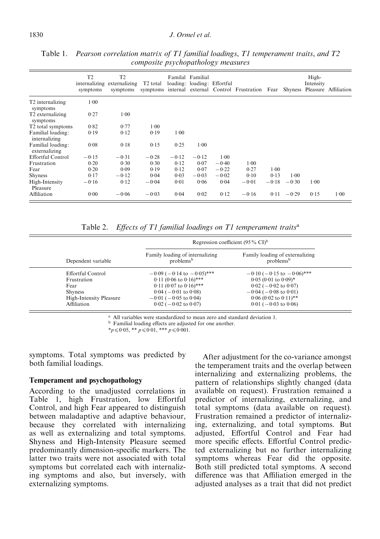|                                          | T <sub>2</sub><br>symptoms | T <sub>2</sub><br>internalizing externalizing<br>symptoms | T <sub>2</sub> total |         | Familal Familial<br>loading: loading: Effortful |         | symptoms internal external Control Frustration Fear Shyness Pleasure Affiliation |         |         | High-<br>Intensity |      |
|------------------------------------------|----------------------------|-----------------------------------------------------------|----------------------|---------|-------------------------------------------------|---------|----------------------------------------------------------------------------------|---------|---------|--------------------|------|
| T <sub>2</sub> internalizing<br>symptoms | 1.00                       |                                                           |                      |         |                                                 |         |                                                                                  |         |         |                    |      |
| T <sub>2</sub> externalizing<br>symptoms | 0.27                       | $1-00$                                                    |                      |         |                                                 |         |                                                                                  |         |         |                    |      |
| T <sub>2</sub> total symptoms            | 0.82                       | 0.77                                                      | 1.00                 |         |                                                 |         |                                                                                  |         |         |                    |      |
| Familial loading:<br>internalizing       | 0.19                       | 0.12                                                      | 0.19                 | 1.00    |                                                 |         |                                                                                  |         |         |                    |      |
| Familial loading:<br>externalizing       | 0.08                       | 0.18                                                      | 0.15                 | 0.25    | 1.00                                            |         |                                                                                  |         |         |                    |      |
| Effortful Control                        | $-0.15$                    | $-0.31$                                                   | $-0.28$              | $-0.12$ | $-0.12$                                         | $1-00$  |                                                                                  |         |         |                    |      |
| Frustration                              | 0.20                       | 0.30                                                      | 0.30                 | 0.12    | 0.07                                            | $-0.40$ | $1-00$                                                                           |         |         |                    |      |
| Fear                                     | 0.20                       | 0.09                                                      | 0.19                 | 0.12    | 0.07                                            | $-0.22$ | 0.27                                                                             | 1.00    |         |                    |      |
| <b>Shyness</b>                           | 0.17                       | $-0.12$                                                   | 0.04                 | 0.03    | $-0.03$                                         | $-0.02$ | 0.10                                                                             | 0.13    | 1.00    |                    |      |
| High-Intensity<br>Pleasure               | $-0.16$                    | 0.12                                                      | $-0.04$              | 0.01    | 0.06                                            | 0.04    | $-0.01$                                                                          | $-0.18$ | $-0.30$ | $1-00$             |      |
| Affiliation                              | 0.00                       | $-0.06$                                                   | $-0.03$              | 0.04    | 0.02                                            | 0.12    | $-0.16$                                                                          | 0.11    | $-0.29$ | 0.15               | 1.00 |

Table 1. Pearson correlation matrix of T1 familial loadings, T1 temperament traits, and T2 composite psychopathology measures

Table 2. Effects of T1 familial loadings on T1 temperament traits<sup>a</sup>

|                                | Regression coefficient $(95\% \text{ CI})^b$             |                                                          |  |  |  |
|--------------------------------|----------------------------------------------------------|----------------------------------------------------------|--|--|--|
| Dependent variable             | Family loading of internalizing<br>problems <sup>b</sup> | Family loading of externalizing<br>problems <sup>b</sup> |  |  |  |
| Effortful Control              | $-0.09$ ( $-0.14$ to $-0.05$ )***                        | $-0.10$ ( $-0.15$ to $-0.06$ )***                        |  |  |  |
| Frustration                    | $0.11(0.06 \text{ to } 0.16)$ ***                        | $0.05(0.01 \text{ to } 0.09)^*$                          |  |  |  |
| Fear                           | $0.11$ (0.07 to $0.16$ )***                              | $0.02$ ( $-0.02$ to $0.07$ )                             |  |  |  |
| <b>Shyness</b>                 | $0.04 (-0.01 \text{ to } 0.08)$                          | $-0.04$ ( $-0.08$ to 0.01)                               |  |  |  |
| <b>High-Intensity Pleasure</b> | $-0.01$ ( $-0.05$ to 0.04)                               | $0.06$ (0.02 to $0.11$ )**                               |  |  |  |
| Affiliation                    | $0.02$ ( $-0.02$ to $0.07$ )                             | $0.01$ ( $-0.03$ to $0.06$ )                             |  |  |  |

<sup>a</sup> All variables were standardized to mean zero and standard deviation 1.<br><sup>b</sup> Familial loading effects are adjusted for one another.

\* $p \le 0.05$ , \*\*  $p \le 0.01$ , \*\*\*  $p \le 0.001$ .

symptoms. Total symptoms was predicted by both familial loadings.

## Temperament and psychopathology

According to the unadjusted correlations in Table 1, high Frustration, low Effortful Control, and high Fear appeared to distinguish between maladaptive and adaptive behaviour, because they correlated with internalizing as well as externalizing and total symptoms. Shyness and High-Intensity Pleasure seemed predominantly dimension-specific markers. The latter two traits were not associated with total symptoms but correlated each with internalizing symptoms and also, but inversely, with externalizing symptoms.

After adjustment for the co-variance amongst the temperament traits and the overlap between internalizing and externalizing problems, the pattern of relationships slightly changed (data available on request). Frustration remained a predictor of internalizing, externalizing, and total symptoms (data available on request). Frustration remained a predictor of internalizing, externalizing, and total symptoms. But adjusted, Effortful Control and Fear had more specific effects. Effortful Control predicted externalizing but no further internalizing symptoms whereas Fear did the opposite. Both still predicted total symptoms. A second difference was that Affiliation emerged in the adjusted analyses as a trait that did not predict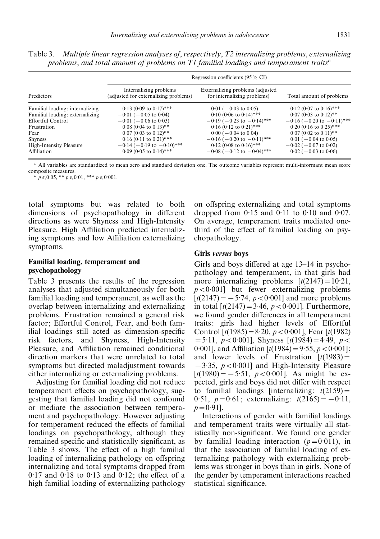|                                 | Regression coefficients (95% CI)                                |                                                                 |                                   |  |  |  |  |  |
|---------------------------------|-----------------------------------------------------------------|-----------------------------------------------------------------|-----------------------------------|--|--|--|--|--|
| Predictors                      | Internalizing problems<br>(adjusted for externalizing problems) | Externalizing problems (adjusted<br>for internalizing problems) | Total amount of problems          |  |  |  |  |  |
| Familial loading: internalizing | $0.13$ (0.09 to $0.17$ )***                                     | $0.01$ ( $-0.03$ to $0.05$ )                                    | $0.12$ (0.07 to $0.16$ )***       |  |  |  |  |  |
| Familial loading: externalizing | $-0.01$ ( $-0.05$ to 0.04)                                      | $0.10$ (0.06 to $0.14$ )***                                     | $0.07$ (0.03 to $0.12$ )**        |  |  |  |  |  |
| Effortful Control               | $-0.01$ ( $-0.06$ to 0.03)                                      | $-0.19$ ( $-0.23$ to $-0.14$ )***                               | $-0.16$ ( $-0.20$ to $-0.11$ )*** |  |  |  |  |  |
| Frustration                     | $0.08$ (0.04 to $0.13$ )**                                      | $0.16$ (0.12 to $0.21$ )***                                     | $0.20$ (0.16 to $0.25$ )***       |  |  |  |  |  |
| Fear                            | $0.07(0.03 \text{ to } 0.12)$ **                                | $0.00 (-0.04 \text{ to } 0.04)$                                 | $0.07$ (0.02 to $0.11$ )**        |  |  |  |  |  |
| <b>Shyness</b>                  | $0.16$ (0.11 to $0.21$ <sup>***</sup>                           | $-0.16$ ( $-0.20$ to $-0.11$ )***                               | $0.01$ ( $-0.04$ to $0.05$ )      |  |  |  |  |  |
| <b>High-Intensity Pleasure</b>  | $-0.14$ ( $-0.19$ to $-0.10$ )***                               | $0.12$ (0.08 to $0.16$ )***                                     | $-0.02$ ( $-0.07$ to 0.02)        |  |  |  |  |  |
| Affiliation                     | $0.09$ (0.05 to $0.14$ )***                                     | $-0.08$ ( $-0.12$ to $-0.04$ )***                               | $0.02$ ( $-0.03$ to $0.06$ )      |  |  |  |  |  |

Table 3. Multiple linear regression analyses of, respectively, T2 internalizing problems, externalizing problems, and total amount of problems on  $T1$  familial loadings and temperament traits<sup>a</sup>

<sup>a</sup> All variables are standardized to mean zero and standard deviation one. The outcome variables represent multi-informant mean score composite measures.

\*  $p \leq 0.05$ , \*\*  $p \leq 0.01$ , \*\*\*  $p \leq 0.001$ .

total symptoms but was related to both dimensions of psychopathology in different directions as were Shyness and High-Intensity Pleasure. High Affiliation predicted internalizing symptoms and low Affiliation externalizing symptoms.

### Familial loading, temperament and psychopathology

Table 3 presents the results of the regression analyses that adjusted simultaneously for both familial loading and temperament, as well as the overlap between internalizing and externalizing problems. Frustration remained a general risk factor; Effortful Control, Fear, and both familial loadings still acted as dimension-specific risk factors, and Shyness, High-Intensity Pleasure, and Affiliation remained conditional direction markers that were unrelated to total symptoms but directed maladjustment towards either internalizing or externalizing problems.

Adjusting for familial loading did not reduce temperament effects on psychopathology, suggesting that familial loading did not confound or mediate the association between temperament and psychopathology. However adjusting for temperament reduced the effects of familial loadings on psychopathology, although they remained specific and statistically significant, as Table 3 shows. The effect of a high familial loading of internalizing pathology on offspring internalizing and total symptoms dropped from  $0.17$  and  $0.18$  to  $0.13$  and  $0.12$ ; the effect of a high familial loading of externalizing pathology on offspring externalizing and total symptoms dropped from  $0.15$  and  $0.11$  to  $0.10$  and  $0.07$ . On average, temperament traits mediated onethird of the effect of familial loading on psychopathology.

#### Girls versus boys

Girls and boys differed at age 13–14 in psychopathology and temperament, in that girls had more internalizing problems  $[t(2147)=10.21,$  $p < 0.001$ ] but fewer externalizing problems  $[t(2147) = -5.74, p < 0.001]$  and more problems in total  $[t(2147) = 3.46, p < 0.001]$ . Furthermore, we found gender differences in all temperament traits: girls had higher levels of Effortful Control  $[t(1985) = 8.20, p < 0.001]$ , Fear  $[t(1982)$  $=$  5.11,  $p < 0.001$ ], Shyness [t(1984) = 4.49,  $p <$ 0.001], and Affiliation  $[t(1984) = 9.55, p < 0.001]$ ; and lower levels of Frustration  $[t(1983)$  =  $-3.35$ ,  $p < 0.001$ ] and High-Intensity Pleasure  $[t(1980) = -5.51, p < 0.001]$ . As might be expected, girls and boys did not differ with respect to familial loadings [internalizing:  $t(2159) =$ 0.51,  $p=0.61$ ; externalizing:  $t(2165) = -0.11$ ,  $p = 0.91$ ].

Interactions of gender with familial loadings and temperament traits were virtually all statistically non-significant. We found one gender by familial loading interaction  $(p=0.011)$ , in that the association of familial loading of externalizing pathology with externalizing problems was stronger in boys than in girls. None of the gender by temperament interactions reached statistical significance.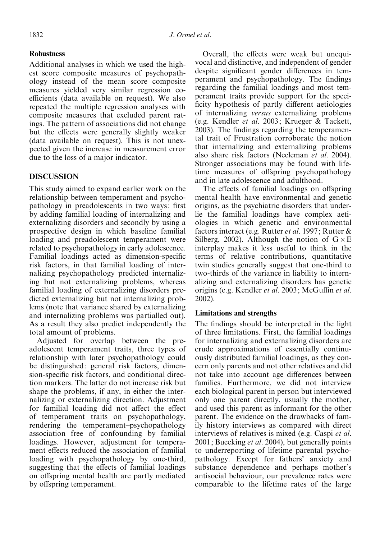# Robustness

Additional analyses in which we used the highest score composite measures of psychopathology instead of the mean score composite measures yielded very similar regression coefficients (data available on request). We also repeated the multiple regression analyses with composite measures that excluded parent ratings. The pattern of associations did not change but the effects were generally slightly weaker (data available on request). This is not unexpected given the increase in measurement error due to the loss of a major indicator.

# **DISCUSSION**

This study aimed to expand earlier work on the relationship between temperament and psychopathology in preadolescents in two ways: first by adding familial loading of internalizing and externalizing disorders and secondly by using a prospective design in which baseline familial loading and preadolescent temperament were related to psychopathology in early adolescence. Familial loadings acted as dimension-specific risk factors, in that familial loading of internalizing psychopathology predicted internalizing but not externalizing problems, whereas familial loading of externalizing disorders predicted externalizing but not internalizing problems (note that variance shared by externalizing and internalizing problems was partialled out). As a result they also predict independently the total amount of problems.

Adjusted for overlap between the preadolescent temperament traits, three types of relationship with later psychopathology could be distinguished: general risk factors, dimension-specific risk factors, and conditional direction markers. The latter do not increase risk but shape the problems, if any, in either the internalizing or externalizing direction. Adjustment for familial loading did not affect the effect of temperament traits on psychopathology, rendering the temperament–psychopathology association free of confounding by familial loadings. However, adjustment for temperament effects reduced the association of familial loading with psychopathology by one-third, suggesting that the effects of familial loadings on offspring mental health are partly mediated by offspring temperament.

Overall, the effects were weak but unequivocal and distinctive, and independent of gender despite significant gender differences in temperament and psychopathology. The findings regarding the familial loadings and most temperament traits provide support for the specificity hypothesis of partly different aetiologies of internalizing versus externalizing problems (e.g. Kendler et al. 2003; Krueger & Tackett, 2003). The findings regarding the temperamental trait of Frustration corroborate the notion that internalizing and externalizing problems also share risk factors (Neeleman et al. 2004). Stronger associations may be found with lifetime measures of offspring psychopathology and in late adolescence and adulthood.

The effects of familial loadings on offspring mental health have environmental and genetic origins, as the psychiatric disorders that underlie the familial loadings have complex aetiologies in which genetic and environmental factors interact (e.g. Rutter et al. 1997; Rutter & Silberg, 2002). Although the notion of  $G \times E$ interplay makes it less useful to think in the terms of relative contributions, quantitative twin studies generally suggest that one-third to two-thirds of the variance in liability to internalizing and externalizing disorders has genetic origins (e.g. Kendler et al. 2003; McGuffin et al. 2002).

## Limitations and strengths

The findings should be interpreted in the light of three limitations. First, the familial loadings for internalizing and externalizing disorders are crude approximations of essentially continuously distributed familial loadings, as they concern only parents and not other relatives and did not take into account age differences between families. Furthermore, we did not interview each biological parent in person but interviewed only one parent directly, usually the mother, and used this parent as informant for the other parent. The evidence on the drawbacks of family history interviews as compared with direct interviews of relatives is mixed (e.g. Caspi et al. 2001; Buecking *et al.* 2004), but generally points to underreporting of lifetime parental psychopathology. Except for fathers' anxiety and substance dependence and perhaps mother's antisocial behaviour, our prevalence rates were comparable to the lifetime rates of the large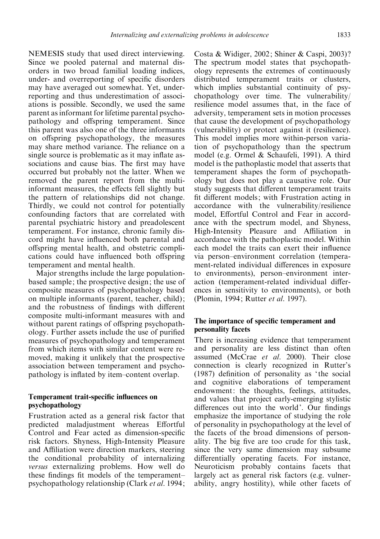NEMESIS study that used direct interviewing. Since we pooled paternal and maternal disorders in two broad familial loading indices, under- and overreporting of specific disorders may have averaged out somewhat. Yet, underreporting and thus underestimation of associations is possible. Secondly, we used the same parent as informant for lifetime parental psychopathology and offspring temperament. Since this parent was also one of the three informants on offspring psychopathology, the measures may share method variance. The reliance on a single source is problematic as it may inflate associations and cause bias. The first may have occurred but probably not the latter. When we removed the parent report from the multiinformant measures, the effects fell slightly but the pattern of relationships did not change. Thirdly, we could not control for potentially confounding factors that are correlated with parental psychiatric history and preadolescent temperament. For instance, chronic family discord might have influenced both parental and offspring mental health, and obstetric complications could have influenced both offspring temperament and mental health.

Major strengths include the large populationbased sample; the prospective design; the use of composite measures of psychopathology based on multiple informants (parent, teacher, child); and the robustness of findings with different composite multi-informant measures with and without parent ratings of offspring psychopathology. Further assets include the use of purified measures of psychopathology and temperament from which items with similar content were removed, making it unlikely that the prospective association between temperament and psychopathology is inflated by item–content overlap.

## Temperament trait-specific influences on psychopathology

Frustration acted as a general risk factor that predicted maladjustment whereas Effortful Control and Fear acted as dimension-specific risk factors. Shyness, High-Intensity Pleasure and Affiliation were direction markers, steering the conditional probability of internalizing versus externalizing problems. How well do these findings fit models of the temperament– psychopathology relationship (Clark et al. 1994;

Costa & Widiger, 2002; Shiner & Caspi, 2003) ? The spectrum model states that psychopathology represents the extremes of continuously distributed temperament traits or clusters, which implies substantial continuity of psychopathology over time. The vulnerability/ resilience model assumes that, in the face of adversity, temperament sets in motion processes that cause the development of psychopathology (vulnerability) or protect against it (resilience). This model implies more within-person variation of psychopathology than the spectrum model (e.g. Ormel & Schaufeli, 1991). A third model is the pathoplastic model that asserts that temperament shapes the form of psychopathology but does not play a causative role. Our study suggests that different temperament traits fit different models; with Frustration acting in accordance with the vulnerability/resilience model, Effortful Control and Fear in accordance with the spectrum model, and Shyness, High-Intensity Pleasure and Affiliation in accordance with the pathoplastic model. Within each model the traits can exert their influence via person–environment correlation (temperament-related individual differences in exposure to environments), person–environment interaction (temperament-related individual differences in sensitivity to environments), or both (Plomin, 1994; Rutter et al. 1997).

# The importance of specific temperament and personality facets

There is increasing evidence that temperament and personality are less distinct than often assumed (McCrae et al. 2000). Their close connection is clearly recognized in Rutter's (1987) definition of personality as ' the social and cognitive elaborations of temperament endowment: the thoughts, feelings, attitudes, and values that project early-emerging stylistic differences out into the world'. Our findings emphasize the importance of studying the role of personality in psychopathology at the level of the facets of the broad dimensions of personality. The big five are too crude for this task, since the very same dimension may subsume differentially operating facets. For instance, Neuroticism probably contains facets that largely act as general risk factors (e.g. vulnerability, angry hostility), while other facets of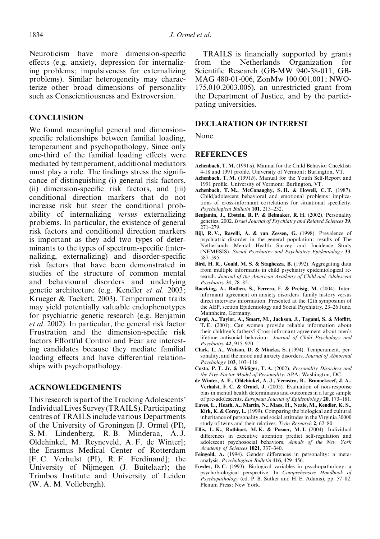Neuroticism have more dimension-specific effects (e.g. anxiety, depression for internalizing problems; impulsiveness for externalizing problems). Similar heterogeneity may characterize other broad dimensions of personality such as Conscientiousness and Extroversion.

# **CONCLUSION**

We found meaningful general and dimensionspecific relationships between familial loading, temperament and psychopathology. Since only one-third of the familial loading effects were mediated by temperament, additional mediators must play a role. The findings stress the significance of distinguishing (i) general risk factors, (ii) dimension-specific risk factors, and (iii) conditional direction markers that do not increase risk but steer the conditional probability of internalizing versus externalizing problems. In particular, the existence of general risk factors and conditional direction markers is important as they add two types of determinants to the types of spectrum-specific (internalizing, externalizing) and disorder-specific risk factors that have been demonstrated in studies of the structure of common mental and behavioural disorders and underlying genetic architecture (e.g. Kendler et al. 2003; Krueger & Tackett, 2003). Temperament traits may yield potentially valuable endophenotypes for psychiatric genetic research (e.g. Benjamin et al. 2002). In particular, the general risk factor Frustration and the dimension-specific risk factors Effortful Control and Fear are interesting candidates because they mediate familial loading effects and have differential relationships with psychopathology.

# ACKNOWLEDGEMENTS

This research is part of the Tracking Adolescents' IndividualLives Survey (TRAILS). Participating centres of TRAILS include various Departments of the University of Groningen [J. Ormel (PI), S. M. Lindenberg, R. B. Minderaa, A. J. Oldehinkel, M. Reyneveld, A. F. de Winter]; the Erasmus Medical Center of Rotterdam [F. C. Verhulst (PI), R. F. Ferdinand]; the University of Nijmegen (J. Buitelaar); the Trimbos Institute and University of Leiden (W. A. M. Vollebergh).

TRAILS is financially supported by grants from the Netherlands Organization for Scientific Research (GB-MW 940-38-011, GB-MAG 480-01-006, ZonMw 100.001.001; NWO-175.010.2003.005), an unrestricted grant from the Department of Justice, and by the participating universities.

#### DECLARATION OF INTEREST

None.

#### **REFERENCES**

- Achenbach, T. M. (1991a). Manual for the Child Behavior Checklist/ 4-18 and 1991 profile. University of Vermont: Burlington, VT.
- Achenbach, T. M. (1991b). Manual for the Youth Self-Report and 1991 profile. University of Vermont: Burlington, VT.
- Achenbach, T. M., McConaughy, S. H. & Howell, C. T. (1987). Child/adolescent behavioral and emotional problems: implications of cross-informant correlations for situational specificity. Psychological Bulletin 101, 213–232.
- Benjamin, J., Ebstein, R. P. & Belmaker, R. H. (2002). Personality genetics, 2002. Israel Journal of Psychiatry and Related Sciences 39, 271–279.
- Bijl, R. V., Ravelli, A. & van Zessen, G. (1998). Prevalence of psychiatric disorder in the general population: results of The Netherlands Mental Health Survey and Incidence Study (NEMESIS). Social Psychiatry and Psychiatric Epidemiology 33, 587–595.
- Bird, H. R., Gould, M. S. & Staghezza, B. (1992). Aggregating data from multiple informants in child psychiatry epidemiological research. Journal of the American Academy of Child and Adolescent Psychiatry 31, 78–85.
- Buecking, A., Rothen, S., Ferrero, F. & Preisig, M. (2004). Interinformant agreement on anxiety disorders: family history versus direct interview information. Presented at the 12th symposium of the AEP, section Epidemiology and Social Psychiatry, 23–26 June, Mannheim, Germany.
- Caspi, A., Taylor, A., Smart, M., Jackson, J., Tagami, S. & Moffitt, T. E. (2001). Can women provide reliable information about their children's fathers ? Cross-informant agreement about men's lifetime antisocial behaviour. Journal of Child Psychology and Psychiatry 42, 915–920.
- Clark, L. A., Watson, D. & Mineka, S. (1994). Temperament, personality, and the mood and anxiety disorders. Journal of Abnormal Psychology 103, 103–116.
- Costa, P. T. Jr. & Widiger, T. A. (2002). Personality Disorders and the Five-Factor Model of Personality. APA: Washington, DC.
- de Winter, A. F., Oldehinkel, A. J., Veenstra, R., Brunnekreef, J. A., Verhulst, F. C. & Ormel, J. (2005). Evaluation of non-response bias in mental health determinants and outcomes in a large sample of pre-adolescents. European Journal of Epidemiology 20, 173–181.
- Eaves, L., Heath, A., Martin, N., Maes, H., Neale, M., Kendler, K. S., Kirk, K. & Corey, L. (1999). Comparing the biological and cultural inheritance of personality and social attitudes in the Virginia 30000 study of twins and their relatives. Twin Research 2, 62–80.
- Ellis, L. K., Rothbart, M. K. & Posner, M. I. (2004). Individual differences in executive attention predict self-regulation and adolescent psychosocial behaviors. Annals of the New York Academy of Sciences 1021, 337–340.
- Feingold, A. (1994). Gender differences in personality: a metaanalysis. Psychological Bulletin 116, 429–456.
- Fowles, D. C. (1993). Biological variables in psychopathology: a psychobiological perspective. In Comprehensive Handbook of Psychopathology (ed. P. B. Sutker and H. E. Adams), pp. 57–82. Plenum Press: New York.